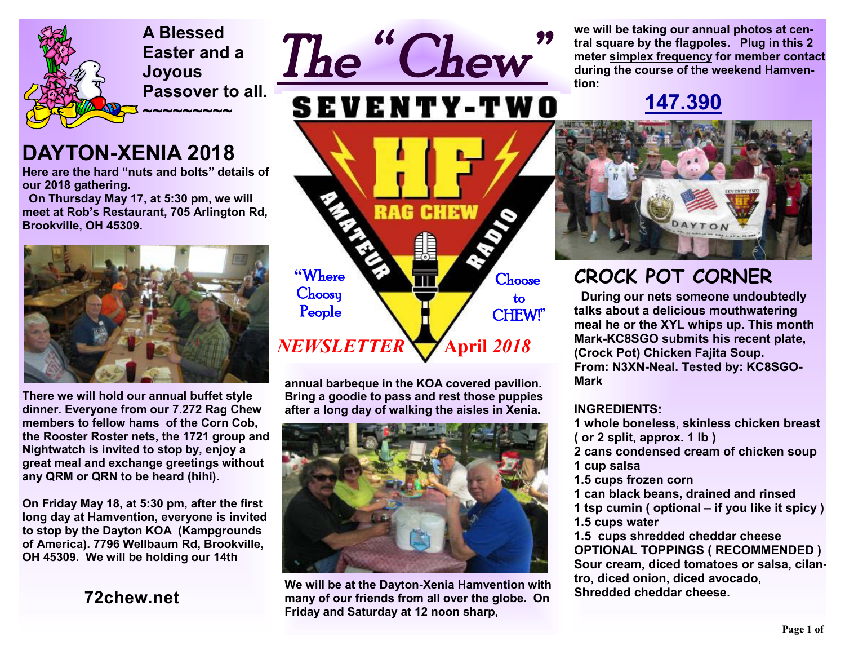

# **DAYTON-XENIA 2018**

**Here are the hard "nuts and bolts" details of our 2018 gathering.** 

**On Thursday May 17, at 5:30 pm, we will meet at Rob's Restaurant, 705 Arlington Rd, Brookville, OH 45309.** 



**There we will hold our annual buffet style dinner. Everyone from our 7.272 Rag Chew members to fellow hams of the Corn Cob, the Rooster Roster nets, the 1721 group and Nightwatch is invited to stop by, enjoy a great meal and exchange greetings without any QRM or QRN to be heard (hihi).** 

**On Friday May 18, at 5:30 pm, after the first long day at Hamvention, everyone is invited to stop by the Dayton KOA (Kampgrounds of America). 7796 Wellbaum Rd, Brookville, OH 45309. We will be holding our 14th** 

### **72chew.net**

**annual barbeque in the KOA covered pavilion. Bring a goodie to pass and rest those puppies after a long day of walking the aisles in Xenia.** 

**"**Where **Choosy** People

*NEWSLETTER* 

*The " Chew"* 

**RAG CHEW** 



**We will be at the Dayton-Xenia Hamvention with many of our friends from all over the globe. On Friday and Saturday at 12 noon sharp,** 

**we will be taking our annual photos at central square by the flagpoles. Plug in this 2 meter simplex frequency for member contact during the course of the weekend Hamvention:**

### **147.390**



## **CROCK POT CORNER**

 **During our nets someone undoubtedly talks about a delicious mouthwatering meal he or the XYL whips up. This month Mark-KC8SGO submits his recent plate, (Crock Pot) Chicken Fajita Soup. From: N3XN-Neal. Tested by: KC8SGO-Mark** 

#### **INGREDIENTS:**

**Choose**  to CHEW!"

 **April** *2018* 

**1 whole boneless, skinless chicken breast ( or 2 split, approx. 1 lb )** 

**2 cans condensed cream of chicken soup 1 cup salsa** 

- **1.5 cups frozen corn**
- **1 can black beans, drained and rinsed**
- **1 tsp cumin ( optional if you like it spicy ) 1.5 cups water**

**1.5 cups shredded cheddar cheese OPTIONAL TOPPINGS ( RECOMMENDED ) Sour cream, diced tomatoes or salsa, cilantro, diced onion, diced avocado, Shredded cheddar cheese.**